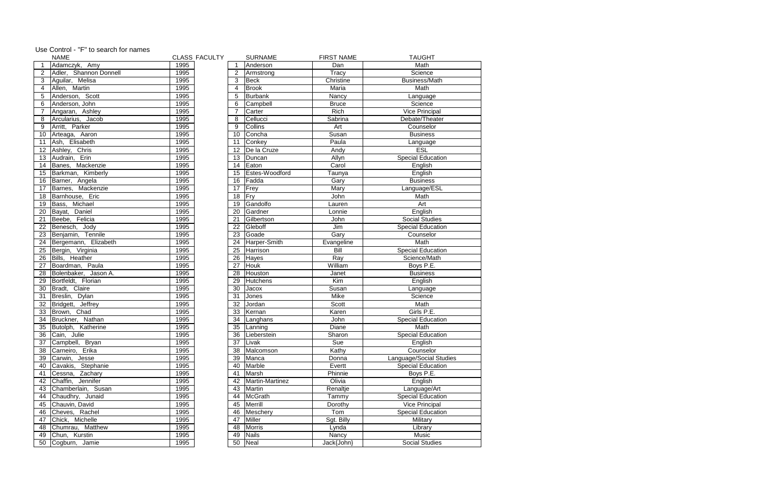|                  | NAME                               | CLASS |
|------------------|------------------------------------|-------|
| 1                | Adamczyk, Amy                      | 1995  |
| $\overline{2}$   | Adler, Shannon Donnell             | 1995  |
| $\overline{3}$   | Aguilar, Melisa                    | 1995  |
| $\overline{4}$   | Allen, Martin                      | 1995  |
| $\overline{5}$   | Anderson, Scott                    | 1995  |
| 6                | Anderson, John                     | 1995  |
| $\overline{7}$   | Angaran, Ashley                    | 1995  |
| 8                | Arcularius, Jacob                  | 1995  |
| $\overline{9}$   | Arritt, Parker                     | 1995  |
| 10               | Arteaga, Aaron                     | 1995  |
| 11               | Ash, Elisabeth                     | 1995  |
| 12               | Ashley, Chris                      | 1995  |
| 13               | Audrain, Erin                      | 1995  |
| 14               | Banes, Mackenzie                   | 1995  |
| 15 <sub>15</sub> | Barkman, Kimberly                  | 1995  |
| 16               | Barner, Angela                     | 1995  |
| 17               | Barnes, Mackenzie                  | 1995  |
| 18               | Barnhouse, Eric                    | 1995  |
| 19               | Bass, Michael                      | 1995  |
| 20               | Bayat, Daniel                      | 1995  |
| 21               | Beebe, Felicia                     | 1995  |
| 22               |                                    | 1995  |
| 23               | Benesch, Jody<br>Benjamin, Tennile | 1995  |
| 24               | Bergemann, Elizabeth               | 1995  |
| 25               | Bergin, Virginia                   | 1995  |
| 26               | Bills, Heather                     | 1995  |
| 27               | Boardman, Paula                    | 1995  |
| 28               | Bolenbaker, Jason A.               | 1995  |
| 29               | Bortfeldt, Florian                 | 1995  |
| 30               | Bradt, Claire                      | 1995  |
| 31               | Breslin, Dylan                     | 1995  |
| $\overline{32}$  | Bridgett, Jeffrey                  | 1995  |
| 33               | Brown, Chad                        | 1995  |
| $\overline{34}$  | Bruckner, Nathan                   | 1995  |
| $\overline{35}$  | Butolph, Katherine                 | 1995  |
| $\overline{36}$  | Cain, Julie                        | 1995  |
| 37               | Campbell, Bryan                    | 1995  |
| 38               | Carneiro, Erika                    | 1995  |
| 39               | Carwin, Jesse                      | 1995  |
| 40               | Cavakis, Stephanie                 | 1995  |
| 41               | Cessna, Zachary                    | 1995  |
| 42               | Chaffin, Jennifer                  | 1995  |
| 43               | Chamberlain, Susan                 | 1995  |
| 44               | Chaudhry, Junaid                   | 1995  |
| 45               | Chauvin, David                     | 1995  |
| 46               | Cheves, Rachel                     | 1995  |
| 47               | Chick, Michelle                    | 1995  |
| 48               | Chumrau, Matthew                   | 1995  |
| 49               | Chun, Kurstin                      | 1995  |
| 50               | Cogburn, Jamie                     | 1995  |
|                  |                                    |       |

|                 | <b>NAME</b>               |      | <b>CLASS FACULTY</b> |                | <b>SURNAME</b>     | <b>FIRST NAME</b> | <b>TAUGHT</b>            |
|-----------------|---------------------------|------|----------------------|----------------|--------------------|-------------------|--------------------------|
| $\overline{1}$  | Adamczyk, Amy             | 1995 |                      |                | Anderson           | Dan               | Math                     |
|                 | Adler, Shannon Donnell    | 1995 |                      | 2              | Armstrong          | Tracy             | Science                  |
| 3               | Aguilar, Melisa           | 1995 |                      | 3              | Beck               | Christine         | <b>Business/Math</b>     |
| $\overline{4}$  | Allen, Martin             | 1995 |                      | 4              | <b>Brook</b>       | Maria             | Math                     |
| 5               | Anderson, Scott           | 1995 |                      | 5              | Burbank            | Nancy             | Language                 |
| 6               | Anderson, John            | 1995 |                      | 6              | Campbell           | <b>Bruce</b>      | Science                  |
| $\overline{7}$  | Angaran, Ashley           | 1995 |                      | $\overline{7}$ | Carter             | Rich              | <b>Vice Principal</b>    |
| 8               | Arcularius, Jacob         | 1995 |                      | 8              | Cellucci           | Sabrina           | Debate/Theater           |
| 9               | Arritt, Parker            | 1995 |                      | 9              | <b>Collins</b>     | Art               | Counselor                |
| 10 <sup>1</sup> | Arteaga, Aaron            | 1995 |                      | 10             | Concha             | Susan             | <b>Business</b>          |
| 11              | Ash, Elisabeth            | 1995 |                      | 11             | Conkey             | Paula             | Language                 |
|                 | 12 Ashley, Chris          | 1995 |                      | 12             | De la Cruze        | Andy              | <b>ESL</b>               |
| 13 <sup>°</sup> | Audrain, Erin             | 1995 |                      | 13             | Duncan             | Allyn             | <b>Special Education</b> |
| 14              | Banes, Mackenzie          | 1995 |                      | 14             | Eaton              | Carol             | English                  |
| 15 <sub>1</sub> | Barkman, Kimberly         | 1995 |                      | 15             | Estes-Woodford     | Taunya            | English                  |
| 16              | Barner, Angela            | 1995 |                      | 16             | Fadda              | Gary              | <b>Business</b>          |
| 17 <sub>1</sub> | Barnes, Mackenzie         | 1995 |                      | 17             | Frey               | Mary              | Language/ESL             |
| 18              | Barnhouse, Eric           | 1995 |                      | 18             | Fry                | John              | Math                     |
| 19              | Bass,<br>Michael          | 1995 |                      | 19             | Gandolfo           | Lauren            | Art                      |
| $\overline{20}$ | Daniel<br>Bayat,          | 1995 |                      | 20             | Gardner            | Lonnie            | English                  |
| 21              | Beebe, Felicia            | 1995 |                      | 21             | Gilbertson         | John              | <b>Social Studies</b>    |
| $\overline{22}$ | Benesch, Jody             | 1995 |                      | 22             | Gleboff            | Jim               | <b>Special Education</b> |
| 23              | Benjamin, Tennile         | 1995 |                      | 23             | Goade              | Gary              | Counselor                |
| 24              | Bergemann, Elizabeth      | 1995 |                      | 24             | Harper-Smith       | Evangeline        | Math                     |
| $\overline{25}$ | Bergin, Virginia          | 1995 |                      | 25             | Harrison           | <b>Bill</b>       | <b>Special Education</b> |
| 26              | Bills, Heather            | 1995 |                      | 26             | Hayes              | Ray               | Science/Math             |
| 27              | Boardman, Paula           | 1995 |                      | 27             | Houk               | William           | Boys P.E.                |
| 28              | Bolenbaker, Jason A.      | 1995 |                      | 28             | Houston            | Janet             | <b>Business</b>          |
| $\overline{29}$ | Bortfeldt, Florian        | 1995 |                      | 29             | <b>Hutchens</b>    | $\overline{Kim}$  | English                  |
| $\overline{30}$ | Bradt, Claire             | 1995 |                      | 30             | Jacox              | Susan             | Language                 |
| 31              | Breslin, Dylan            | 1995 |                      | 31             | Jones              | Mike              | Science                  |
| 32              | Bridgett, Jeffrey         | 1995 |                      | 32             | Jordan             | Scott             | Math                     |
| 33              | Brown, Chad               | 1995 |                      | 33             | Kernan             | Karen             | Girls P.E.               |
| 34              | Bruckner, Nathan          | 1995 |                      | 34             | Langhans           | John              | <b>Special Education</b> |
| 35              | Butolph, Katherine        | 1995 |                      | 35             | Lanning            | Diane             | Math                     |
| 36              | Cain, Julie               | 1995 |                      | 36             | <b>Lieberstein</b> | Sharon            | <b>Special Education</b> |
| $\overline{37}$ | Campbell,<br><b>Bryan</b> | 1995 |                      | 37             | <b>Livak</b>       | Sue               | English                  |
| 38              | Erika<br>Carneiro,        | 1995 |                      | 38             | Malcomson          | Kathy             | Counselor                |
| $\overline{39}$ | Carwin,<br>Jesse          | 1995 |                      | 39             | Manca              | Donna             | Language/Social Studies  |
| 40              | Cavakis, Stephanie        | 1995 |                      | 40             | Marble             | Evertt            | <b>Special Education</b> |
| 41              | Cessna, Zachary           | 1995 |                      | 41             | Marsh              | Phinnie           | Boys P.E.                |
| 42              | Chaffin, Jennifer         | 1995 |                      | 42             | Martin-Martinez    | Olivia            | English                  |
| 43              | Chamberlain, Susan        | 1995 |                      | 43             | Martin             | Renaltje          | Language/Art             |
| 44              | Chaudhry, Junaid          | 1995 |                      | 44             | McGrath            | Tammy             | <b>Special Education</b> |
| 45              | Chauvin, David            | 1995 |                      | 45             | Merrill            | Dorothy           | <b>Vice Principal</b>    |
| 46              | Cheves, Rachel            | 1995 |                      | 46             | Meschery           | Tom               | <b>Special Education</b> |
| 47              | Chick, Michelle           | 1995 |                      | 47             | Miller             | Sgt. Billy        | Military                 |
| 48              | Chumrau, Matthew          | 1995 |                      | 48             | Morris             | Lynda             | Library                  |
| 49              | Chun, Kurstin             | 1995 |                      | 49             | Nails              | Nancy             | Music                    |
| 50              | Cogburn, Jamie            | 1995 |                      | 50             | Neal               | Jack{John}        | <b>Social Studies</b>    |

## Use Control - "F" to search for names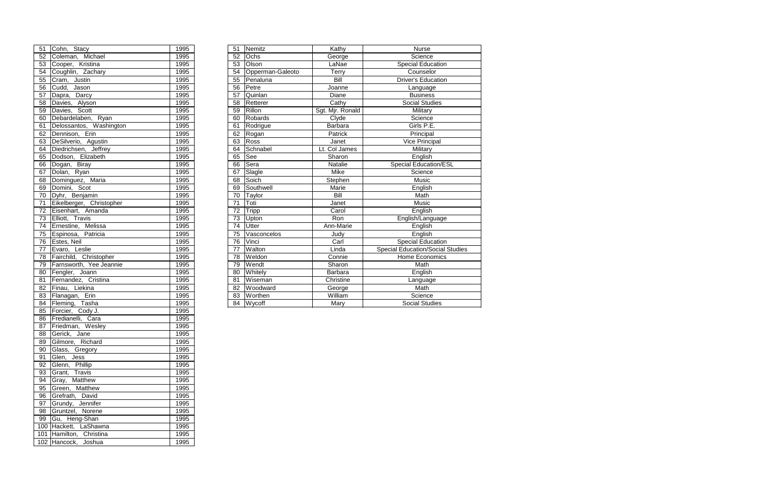| 51              | Cohn, Stacy                    | 1995             | 51              | Nemitz           | Kathy            | Nurse                                   |
|-----------------|--------------------------------|------------------|-----------------|------------------|------------------|-----------------------------------------|
| $\overline{52}$ | Michael<br>Coleman,            | 1995             | 52              | Ochs             | George           | Science                                 |
| $\overline{53}$ | Cooper,<br>Kristina            | 1995             | 53              | Olson            | LaNae            | <b>Special Education</b>                |
| $\overline{54}$ | Coughlin, Zachary              | 1995             | 54              | Opperman-Galeoto | Terry            | Counselor                               |
| $\overline{55}$ | Cram, Justin                   | 1995             | $\overline{55}$ | Penaluna         | Bill             | <b>Driver's Education</b>               |
| $\overline{56}$ | Cudd,<br>Jason                 | 1995             | 56              | Petre            | Joanne           | Language                                |
| 57              | Darcy<br>Dapra,                | 1995             | $\overline{57}$ | Quinlan          | Diane            | <b>Business</b>                         |
| 58              | Alyson<br>Davies,              | 1995             | $\overline{58}$ | Retterer         | Cathy            | <b>Social Studies</b>                   |
| 59              | Scott<br>Davies,               | 1995             | 59              | Rillon           | Sgt. Mjr. Ronald | Military                                |
| $\overline{60}$ | Debardelaben, Ryan             | 1995             | 60              | Robards          | Clyde            | Science                                 |
| $\overline{61}$ | Delossantos, Washington        | 1995             | 61              | Rodrigue         | <b>Barbara</b>   | Girls P.E.                              |
| $\overline{62}$ | Dennison, Erin                 | 1995             | 62              | Rogan            | Patrick          | Principal                               |
| 63              | DeSilverio, Agustin            | 1995             | 63              | Ross             | Janet            | Vice Principal                          |
| $\overline{64}$ | Diedrichsen, Jeffrey           | 1995             | 64              | Schnabel         | Lt. Col James    | Military                                |
| 65              | Dodson, Elizabeth              | 1995             | 65              | See              | Sharon           | English                                 |
| $\overline{66}$ | Dogan, Biray                   | 1995             | 66              | Sera             | Natalie          | <b>Special Education/ESL</b>            |
| 67              | Dolan, Ryan                    | 1995             | 67              | Slagle           | Mike             | Science                                 |
| $\overline{68}$ | Dominguez, Maria               | 1995             | 68              | Soich            | Stephen          | Music                                   |
| 69              | Domini, Scot                   | 1995             | 69              | Southwell        | Marie            | English                                 |
| $\overline{70}$ | Dyhr, Benjamin                 | 1995             | 70              | Taylor           | <b>Bill</b>      | Math                                    |
| $\overline{71}$ | Eikelberger, Christopher       | 1995             | 71              | Toti             | Janet            | Music                                   |
| $\overline{72}$ | Eisenhart, Amanda              | 1995             | 72              | Tripp            | Carol            | English                                 |
| 73              | Elliott, Travis                | 1995             | 73              | Upton            | Ron              | English/Language                        |
| $\overline{74}$ | Ernestine, Melissa             | 1995             | 74              | Utter            | Ann-Marie        | English                                 |
| $\overline{75}$ | Espinosa, Patricia             | 1995             | 75              | Vasconcelos      | Judy             | English                                 |
| 76              | Estes, Neil                    | 1995             | 76              | Vinci            | Carl             | <b>Special Education</b>                |
| $\overline{77}$ | Evaro,<br>Leslie               | 1995             | 77              | Walton           | Linda            | <b>Special Education/Social Studies</b> |
| $\overline{78}$ | Fairchild, Christopher         | 1995             | 78              | Weldon           | Connie           | <b>Home Economics</b>                   |
| 79              | Farnsworth, Yee Jeannie        | 1995             | 79              | Wendt            | Sharon           | Math                                    |
| 80              | Fengler, Joann                 | 1995             | 80              | <b>Whitely</b>   | <b>Barbara</b>   | English                                 |
| $\overline{81}$ | Fernandez, Cristina            | 1995             | 81              | <b>Wiseman</b>   | Christine        | Language                                |
| $\overline{82}$ | Finau, Liekina                 | 1995             | 82              | Woodward         | George           | Math                                    |
| 83              | Erin<br>Flanagan,              | 1995             | 83              | Worthen          | William          | Science                                 |
| 84              | Fleming,<br>Tasha              | 1995             | $\overline{84}$ | Wycoff           | Mary             | <b>Social Studies</b>                   |
|                 | $\sim$ $\sim$<br>$\sim$ $\sim$ | 100 <sup>F</sup> |                 |                  |                  |                                         |

| $\overline{5}1$ | Cohn, Stacy                        | 1995 |
|-----------------|------------------------------------|------|
| 52              | Coleman, Michael                   | 1995 |
| $\overline{53}$ | Cooper, Kristina                   | 1995 |
| 54              | Coughlin, Zachary                  | 1995 |
| 55              | Cram, Justin                       | 1995 |
| 56              | Cudd, Jason                        | 1995 |
| 57              | Dapra, Darcy                       | 1995 |
| 58              | Davies, Alyson                     | 1995 |
| 59              | Davies, Scott                      | 1995 |
| 60              | Debardelaben, Ryan                 | 1995 |
| 61              | Delossantos, Washington            | 1995 |
| 62              | Dennison, Erin                     | 1995 |
| 63              | DeSilverio, Agustin                | 1995 |
| 64              | Diedrichsen, Jeffrey               | 1995 |
| 65              | Dodson, Elizabeth                  | 1995 |
| 66              | Dogan, Biray                       | 1995 |
| 67              | Dolan, Ryan                        | 1995 |
| 68              | Dominguez, Maria                   | 1995 |
| 69              | Domini, Scot                       | 1995 |
| 70              | Dyhr, Benjamin                     | 1995 |
| $\overline{71}$ | Eikelberger, Christopher           | 1995 |
| $\overline{72}$ | Eisenhart, Amanda                  | 1995 |
| 73              | Elliott, Travis                    | 1995 |
| 74              | Ernestine, Melissa                 | 1995 |
| 75              | Espinosa, Patricia                 | 1995 |
| 76              | Estes, Neil                        | 1995 |
| 77              | Evaro, Leslie                      | 1995 |
| 78              | Fairchild, Christopher             | 1995 |
| 79              | Farnsworth, Yee Jeannie            | 1995 |
| 80              | Fengler, Joann                     | 1995 |
| 81              | Fernandez, Cristina                | 1995 |
| 82              | Finau, Liekina                     | 1995 |
| 83              | Flanagan, Erin                     | 1995 |
| 84              |                                    | 1995 |
| 85              | Fleming, Tasha<br>Forcier, Cody J. | 1995 |
| 86              | Fredianelli, Cara                  | 1995 |
| 87              | Friedman, Wesley                   | 1995 |
| 88              | Gerick, Jane                       | 1995 |
| 89              | Gilmore, Richard                   | 1995 |
| 90              | Glass, Gregory                     | 1995 |
| 91              | Glen, Jess                         | 1995 |
| 92              | Glenn, Phillip                     | 1995 |
| 93              | Grant, Travis                      | 1995 |
| 94              | Gray, Matthew                      | 1995 |
| 95              | Green, Matthew                     | 1995 |
| 96              | Grefrath, David                    | 1995 |
| 97              | Grundy, Jennifer                   | 1995 |
| 98              | Gruntzel, Norene                   | 1995 |
| 99              | Gu, Heng-Shan                      | 1995 |
| 100             | Hackett, LaShawna                  | 1995 |
| 101             | Hamilton, Christina                | 1995 |
| 102             | Hancock,<br>Joshua                 | 1995 |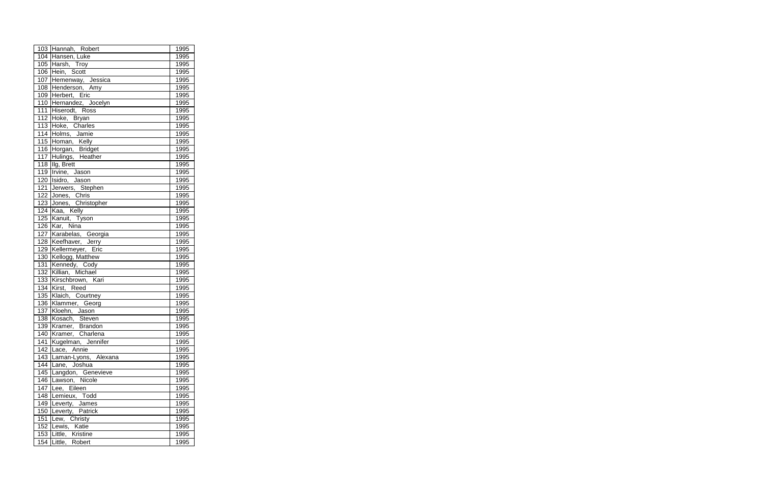|     | 103 Hannah, Robert                          | 1995 |
|-----|---------------------------------------------|------|
|     | 104 Hansen, Luke                            | 1995 |
|     | 105 Harsh, Troy                             | 1995 |
|     | 106 Hein, Scott                             | 1995 |
|     | 107 Hemenway, Jessica                       | 1995 |
|     | 108 Henderson, Amy                          | 1995 |
|     | 109 Herbert, Eric                           | 1995 |
|     | 110 Hernandez, Jocelyn                      | 1995 |
|     | 111 Hiserodt, Ross                          | 1995 |
|     | 112 Hoke, Bryan                             | 1995 |
|     | 113 Hoke, Charles                           | 1995 |
|     | 114 Holms, Jamie                            | 1995 |
|     | $\frac{114}{115}$ Homan, Kelly              | 1995 |
|     |                                             | 1995 |
|     | 116 Horgan, Bridget<br>117 Hulings, Heather | 1995 |
| 118 | Ilg, Brett                                  | 1995 |
|     | 119 Irvine, Jason                           | 1995 |
|     | 120 Isidro, Jason                           | 1995 |
| 121 | Jerwers, Stephen                            | 1995 |
|     | 122 Jones, Chris                            | 1995 |
|     | 123 Jones, Christopher                      | 1995 |
|     | 124 Kaa, Kelly                              | 1995 |
|     | 125 Kanuit, Tyson                           | 1995 |
|     | 126 Kar, Nina                               | 1995 |
|     | 127 Karabelas, Georgia                      | 1995 |
|     | 128 Keefhaver, Jerry                        | 1995 |
|     | 129 Kellermeyer, Eric                       | 1995 |
|     | 130 Kellogg, Matthew                        | 1995 |
| 131 | Kennedy, Cody                               | 1995 |
|     | 132 Killian, Michael                        | 1995 |
|     | 133 Kirschbrown, Kari                       | 1995 |
| 134 | Kirst, Reed                                 | 1995 |
| 135 | Klaich, Courtney                            | 1995 |
|     | 136 Klammer, Georg                          | 1995 |
| 137 | Kloehn, Jason                               | 1995 |
|     | 138 Kosach, Steven                          | 1995 |
|     | 139 Kramer, Brandon                         | 1995 |
|     | 140 Kramer, Charlena                        | 1995 |
|     | 141 Kugelman, Jennifer                      | 1995 |
|     | 142 Lace, Annie                             | 1995 |
|     | 143   Laman-Lyons, Alexana                  | 1995 |
|     | 144 Lane, Joshua                            | 1995 |
|     | 145 Langdon, Genevieve                      | 1995 |
| 146 | Lawson, Nicole                              | 1995 |
| 147 | Lee, Eileen                                 | 1995 |
| 148 | Lemieux, Todd                               | 1995 |
| 149 | Leverty, James                              | 1995 |
|     | 150 Leverty, Patrick                        | 1995 |
| 151 | Lew, Christy                                | 1995 |
| 152 | Lewis, Katie                                | 1995 |
|     | 153 Little, Kristine                        | 1995 |
|     | 154 Little, Robert                          | 1995 |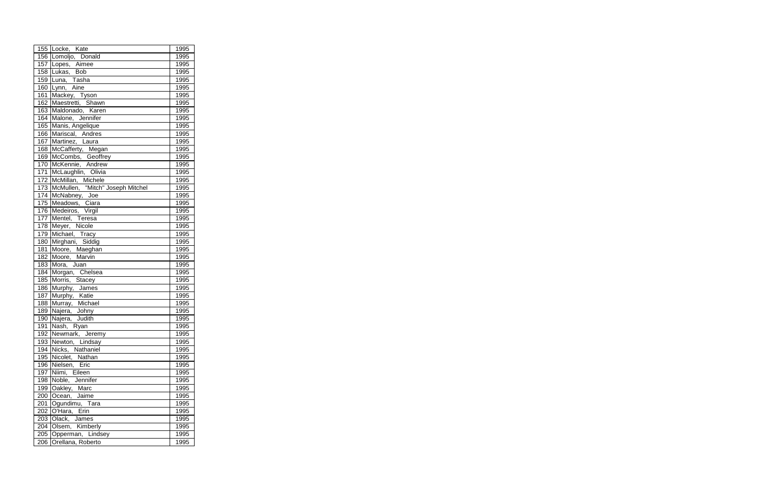|     | 155 Locke, Kate                                                        | 1995             |
|-----|------------------------------------------------------------------------|------------------|
|     | 156 Lomoljo, Donald                                                    | 1995             |
| 157 | Lopes, Aimee                                                           | 1995             |
|     | 158 Lukas, Bob                                                         | 1995             |
|     | 159 Luna, Tasha                                                        | 1995             |
|     | 160 Lynn, Aine                                                         | 1995             |
| 161 | Mackey, Tyson                                                          | 1995             |
|     | 162 Maestretti, Shawn                                                  | 1995             |
|     | 163 Maldonado, Karen                                                   | 1995             |
|     | 164 Malone, Jennifer                                                   | 1995             |
|     | 165 Manis, Angelique                                                   | 1995             |
|     | 166 Mariscal, Andres                                                   | 1995             |
|     | 167 Martinez, Laura                                                    | 1995             |
|     |                                                                        | 1995             |
|     | 168 McCafferty, Megan<br>169 McCombs, Geoffrey<br>170 McKennie, Andrew | 1995             |
|     |                                                                        | 1995             |
|     | 171 McLaughlin, Olivia                                                 | 1995             |
| 172 | McMillan, Michele                                                      | 1995             |
|     | 173 McMullen, "Mitch" Joseph Mitchel                                   | 1995             |
|     | 174 McNabney, Joe                                                      | 1995             |
|     | 175 Meadows, Ciara                                                     | 1995             |
|     | 176 Medeiros, Virgil                                                   | 1995             |
|     | 177 Mentel, Teresa                                                     | 1995             |
|     | 178 Meyer, Nicole                                                      | 1995             |
|     | 179 Michael, Tracy                                                     | 1995             |
|     | 180 Mirghani, Siddig                                                   | 1995             |
| 181 | Moore, Maeghan<br>Moore, Marvin                                        | 1995             |
| 182 |                                                                        | 1995             |
| 183 | Mora, Juan                                                             | 1995             |
| 184 | Morgan, Chelsea                                                        | 1995             |
| 185 | Morris, Stacey                                                         | 1995             |
| 186 | Murphy, James                                                          | 1995             |
| 187 | Murphy, Katie                                                          | 1995             |
| 188 | Murray, Michael                                                        | $\frac{1}{1995}$ |
| 189 | Najera, Johny                                                          | 1995             |
| 190 | Najera, Judith                                                         | 1995             |
| 191 | Nash, Ryan                                                             | 1995             |
|     | 192 Newmark, Jeremy                                                    | 1995             |
|     | 193 Newton, Lindsay                                                    | 1995             |
|     | 194 Nicks, Nathaniel                                                   | 1995             |
|     | 195 Nicolet, Nathan                                                    | 1995             |
|     | 196 Nielsen, Eric                                                      | 1995             |
|     | 197 Niimi, Eileen                                                      | 1995             |
| 198 | Noble, Jennifer                                                        | 1995             |
|     | 199 Oakley, Marc                                                       | 1995             |
|     | 200 Ocean, Jaime                                                       | 1995             |
| 201 | Ogundimu, Tara                                                         | 1995             |
|     | 202 O'Hara, Erin                                                       | 1995             |
| 203 | Olack, James                                                           | 1995             |
|     | 204 Olsem, Kimberly                                                    | 1995             |
|     | 205 Opperman, Lindsey                                                  | 1995             |
|     | 206 Orellana, Roberto                                                  | 1995             |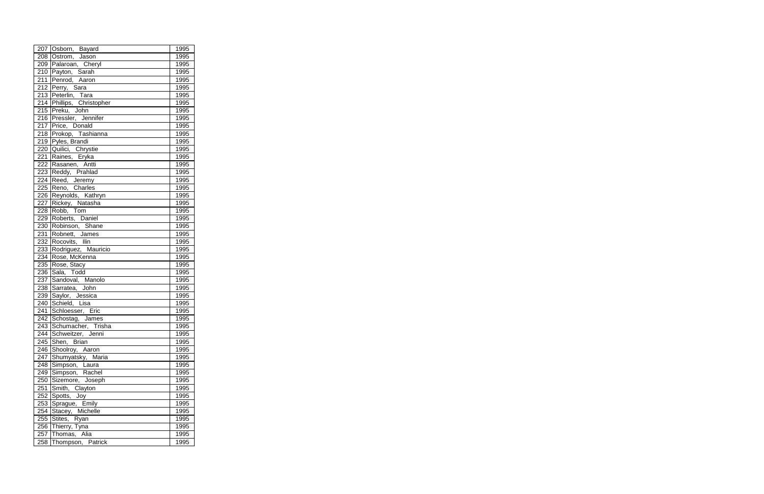|     | 207 Osborn, Bayard         | 1995 |
|-----|----------------------------|------|
|     | 208 Ostrom, Jason          | 1995 |
|     | 209 Palaroan, Cheryl       | 1995 |
|     | 210 Payton, Sarah          | 1995 |
|     | 211 Penrod, Aaron          | 1995 |
|     | 212 Perry, Sara            | 1995 |
|     | 213 Peterlin, Tara         | 1995 |
|     | 214 Phillips, Christopher  | 1995 |
|     | 215 Preku, John            | 1995 |
|     | 216 Pressler, Jennifer     | 1995 |
|     | 217 Price, Donald          | 1995 |
|     | 218 Prokop, Tashianna      | 1995 |
|     | 219 Pyles, Brandi          | 1995 |
|     | 220 Quilici, Chrystie      | 1995 |
|     | 221 Raines, Eryka          | 1995 |
|     | 222 Rasanen, Antti         | 1995 |
|     | 223 Reddy, Prahlad         | 1995 |
|     | 224 Reed, Jeremy           | 1995 |
|     | 225 Reno, Charles          | 1995 |
|     | 226 Reynolds, Kathryn      | 1995 |
|     | 227 Rickey, Natasha        | 1995 |
|     | $\overline{228}$ Robb, Tom | 1995 |
|     | 229 Roberts, Daniel        | 1995 |
|     | 230 Robinson, Shane        | 1995 |
|     | 231 Robnett, James         | 1995 |
|     | 232 Rocovits, Ilin         | 1995 |
|     | 233 Rodriguez, Mauricio    | 1995 |
|     | 234 Rose, McKenna          | 1995 |
|     | 235 Rose, Stacy            | 1995 |
| 236 | Sala, Todd                 | 1995 |
| 237 | Sandoval, Manolo           | 1995 |
| 238 | Sarratea, John             | 1995 |
|     | 239 Saylor, Jessica        | 1995 |
|     | 240 Schield, Lisa          | 1995 |
|     | 241 Schloesser, Eric       | 1995 |
|     | 242 Schostag, James        | 1995 |
|     | 243 Schumacher, Trisha     | 1995 |
|     | 244 Schweitzer, Jenni      | 1995 |
|     | 245 Shen, Brian            | 1995 |
|     | 246 Shoolroy, Aaron        | 1995 |
|     | 247 Shumyatsky, Maria      | 1995 |
|     | 248 Simpson, Laura         | 1995 |
|     | 249 Simpson, Rachel        | 1995 |
| 250 | Sizemore, Joseph           | 1995 |
| 251 | Smith, Clayton             | 1995 |
| 252 | Spotts, Joy                | 1995 |
|     | 253 Sprague, Emily         | 1995 |
|     | 254 Stacey, Michelle       | 1995 |
| 255 | Stites, Ryan               | 1995 |
|     | 256 Thierry, Tyna          | 1995 |
| 257 | Thomas, Alia               | 1995 |
|     | 258 Thompson, Patrick      | 1995 |